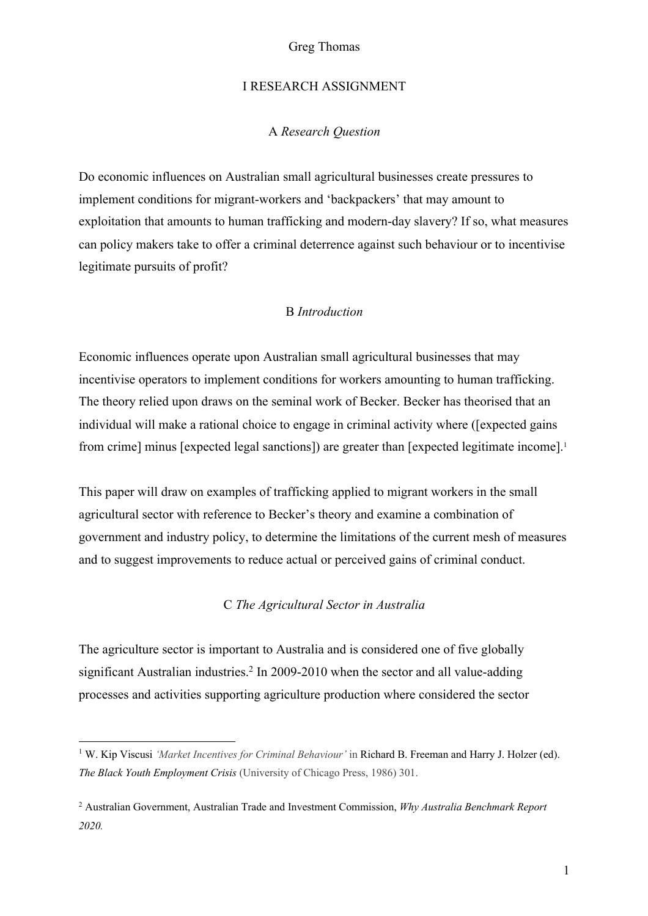#### I RESEARCH ASSIGNMENT

#### A *Research Question*

Do economic influences on Australian small agricultural businesses create pressures to implement conditions for migrant-workers and 'backpackers' that may amount to exploitation that amounts to human trafficking and modern-day slavery? If so, what measures can policy makers take to offer a criminal deterrence against such behaviour or to incentivise legitimate pursuits of profit?

### B *Introduction*

Economic influences operate upon Australian small agricultural businesses that may incentivise operators to implement conditions for workers amounting to human trafficking. The theory relied upon draws on the seminal work of Becker. Becker has theorised that an individual will make a rational choice to engage in criminal activity where ([expected gains from crime] minus [expected legal sanctions]) are greater than [expected legitimate income].<sup>1</sup>

This paper will draw on examples of trafficking applied to migrant workers in the small agricultural sector with reference to Becker's theory and examine a combination of government and industry policy, to determine the limitations of the current mesh of measures and to suggest improvements to reduce actual or perceived gains of criminal conduct.

## C *The Agricultural Sector in Australia*

The agriculture sector is important to Australia and is considered one of five globally significant Australian industries.<sup>2</sup> In 2009-2010 when the sector and all value-adding processes and activities supporting agriculture production where considered the sector

<sup>1</sup> W. Kip Viscusi *'Market Incentives for Criminal Behaviour'* in Richard B. Freeman and Harry J. Holzer (ed). *The Black Youth Employment Crisis* (University of Chicago Press, 1986) 301.

<sup>2</sup> Australian Government, Australian Trade and Investment Commission, *Why Australia Benchmark Report 2020.*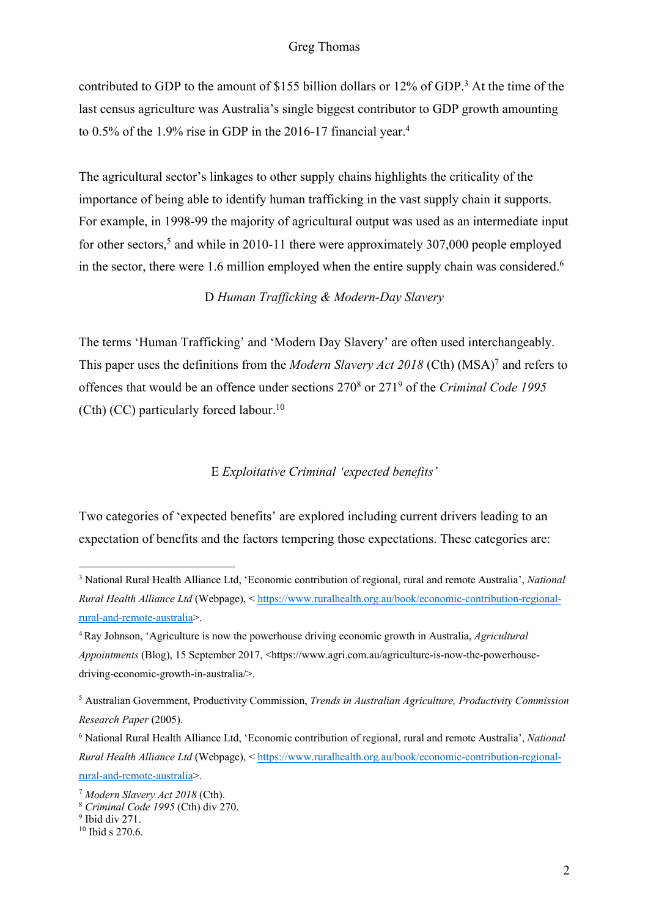contributed to GDP to the amount of \$155 billion dollars or 12% of GDP.<sup>3</sup> At the time of the last census agriculture was Australia's single biggest contributor to GDP growth amounting to 0.5% of the 1.9% rise in GDP in the 2016-17 financial year.<sup>4</sup>

The agricultural sector's linkages to other supply chains highlights the criticality of the importance of being able to identify human trafficking in the vast supply chain it supports. For example, in 1998-99 the majority of agricultural output was used as an intermediate input for other sectors,<sup>5</sup> and while in 2010-11 there were approximately 307,000 people employed in the sector, there were 1.6 million employed when the entire supply chain was considered.<sup>6</sup>

## D *Human Trafficking & Modern-Day Slavery*

The terms 'Human Trafficking' and 'Modern Day Slavery' are often used interchangeably. This paper uses the definitions from the *Modern Slavery Act 2018* (Cth) (MSA)7 and refers to offences that would be an offence under sections 2708 or 2719 of the *Criminal Code 1995* (Cth) (CC) particularly forced labour.<sup>10</sup>

## E *Exploitative Criminal 'expected benefits'*

Two categories of 'expected benefits' are explored including current drivers leading to an expectation of benefits and the factors tempering those expectations. These categories are:

<sup>3</sup> National Rural Health Alliance Ltd, 'Economic contribution of regional, rural and remote Australia', *National Rural Health Alliance Ltd* (Webpage), < https://www.ruralhealth.org.au/book/economic-contribution-regionalrural-and-remote-australia>.

<sup>4</sup> Ray Johnson, 'Agriculture is now the powerhouse driving economic growth in Australia, *Agricultural Appointments* (Blog), 15 September 2017, <https://www.agri.com.au/agriculture-is-now-the-powerhousedriving-economic-growth-in-australia/>.

<sup>5</sup> Australian Government, Productivity Commission, *Trends in Australian Agriculture, Productivity Commission Research Paper* (2005).

<sup>6</sup> National Rural Health Alliance Ltd, 'Economic contribution of regional, rural and remote Australia', *National Rural Health Alliance Ltd* (Webpage), < https://www.ruralhealth.org.au/book/economic-contribution-regionalrural-and-remote-australia>.

<sup>7</sup> *Modern Slavery Act 2018* (Cth).

<sup>8</sup> *Criminal Code 1995* (Cth) div 270.

 $9$  Ibid div 271.

 $10$  Ibid s 270.6.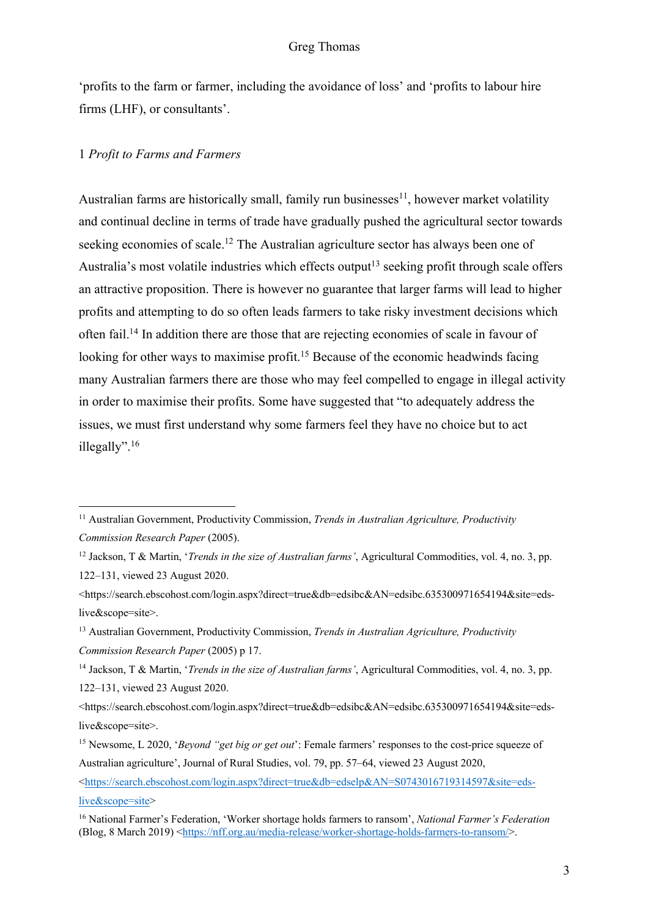'profits to the farm or farmer, including the avoidance of loss' and 'profits to labour hire firms (LHF), or consultants'.

## 1 *Profit to Farms and Farmers*

Australian farms are historically small, family run businesses<sup>11</sup>, however market volatility and continual decline in terms of trade have gradually pushed the agricultural sector towards seeking economies of scale.<sup>12</sup> The Australian agriculture sector has always been one of Australia's most volatile industries which effects output<sup>13</sup> seeking profit through scale offers an attractive proposition. There is however no guarantee that larger farms will lead to higher profits and attempting to do so often leads farmers to take risky investment decisions which often fail.14 In addition there are those that are rejecting economies of scale in favour of looking for other ways to maximise profit.<sup>15</sup> Because of the economic headwinds facing many Australian farmers there are those who may feel compelled to engage in illegal activity in order to maximise their profits. Some have suggested that "to adequately address the issues, we must first understand why some farmers feel they have no choice but to act illegally". 16

<https://search.ebscohost.com/login.aspx?direct=true&db=edselp&AN=S0743016719314597&site=edslive&scope=site>

<sup>11</sup> Australian Government, Productivity Commission, *Trends in Australian Agriculture, Productivity Commission Research Paper* (2005).

<sup>12</sup> Jackson, T & Martin, '*Trends in the size of Australian farms'*, Agricultural Commodities, vol. 4, no. 3, pp. 122–131, viewed 23 August 2020.

<sup>&</sup>lt;https://search.ebscohost.com/login.aspx?direct=true&db=edsibc&AN=edsibc.635300971654194&site=edslive&scope=site>.

<sup>13</sup> Australian Government, Productivity Commission, *Trends in Australian Agriculture, Productivity Commission Research Paper* (2005) p 17.

<sup>14</sup> Jackson, T & Martin, '*Trends in the size of Australian farms'*, Agricultural Commodities, vol. 4, no. 3, pp. 122–131, viewed 23 August 2020.

<sup>&</sup>lt;https://search.ebscohost.com/login.aspx?direct=true&db=edsibc&AN=edsibc.635300971654194&site=edslive&scope=site>.

<sup>15</sup> Newsome, L 2020, '*Beyond "get big or get out*': Female farmers' responses to the cost-price squeeze of Australian agriculture', Journal of Rural Studies, vol. 79, pp. 57–64, viewed 23 August 2020,

<sup>16</sup> National Farmer's Federation, 'Worker shortage holds farmers to ransom', *National Farmer's Federation*  (Blog, 8 March 2019) <https://nff.org.au/media-release/worker-shortage-holds-farmers-to-ransom/>.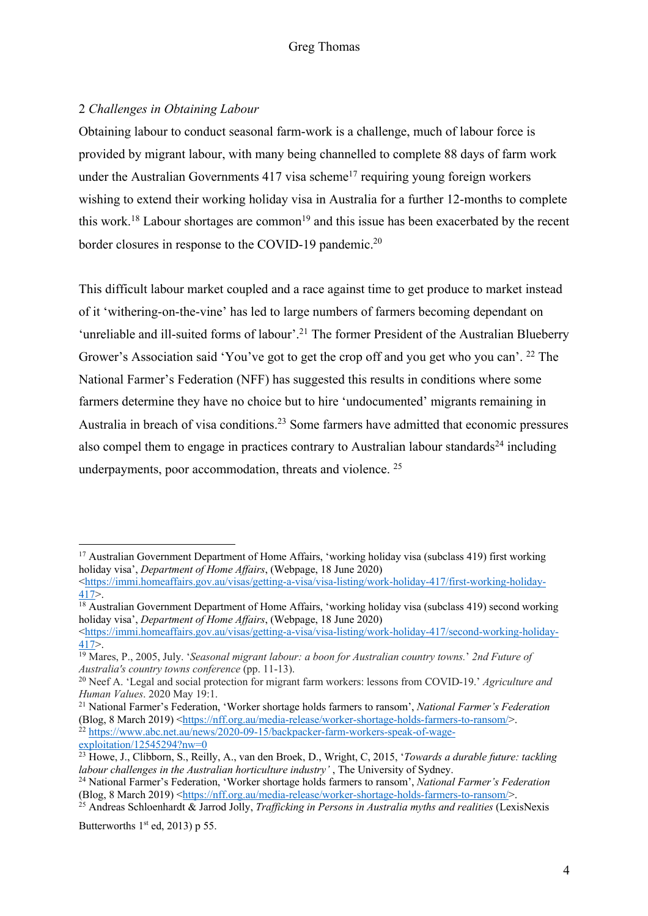# 2 *Challenges in Obtaining Labour*

Obtaining labour to conduct seasonal farm-work is a challenge, much of labour force is provided by migrant labour, with many being channelled to complete 88 days of farm work under the Australian Governments  $417$  visa scheme<sup>17</sup> requiring young foreign workers wishing to extend their working holiday visa in Australia for a further 12-months to complete this work.<sup>18</sup> Labour shortages are common<sup>19</sup> and this issue has been exacerbated by the recent border closures in response to the COVID-19 pandemic.<sup>20</sup>

This difficult labour market coupled and a race against time to get produce to market instead of it 'withering-on-the-vine' has led to large numbers of farmers becoming dependant on 'unreliable and ill-suited forms of labour'.<sup>21</sup> The former President of the Australian Blueberry Grower's Association said 'You've got to get the crop off and you get who you can'. 22 The National Farmer's Federation (NFF) has suggested this results in conditions where some farmers determine they have no choice but to hire 'undocumented' migrants remaining in Australia in breach of visa conditions.<sup>23</sup> Some farmers have admitted that economic pressures also compel them to engage in practices contrary to Australian labour standards<sup>24</sup> including underpayments, poor accommodation, threats and violence. 25

Butterworths  $1<sup>st</sup>$  ed, 2013) p 55.

<sup>&</sup>lt;sup>17</sup> Australian Government Department of Home Affairs, 'working holiday visa (subclass 419) first working holiday visa', *Department of Home Affairs*, (Webpage, 18 June 2020)

<sup>&</sup>lt;https://immi.homeaffairs.gov.au/visas/getting-a-visa/visa-listing/work-holiday-417/first-working-holiday- $\frac{417}{18}$  Australian Government Department of Home Affairs, 'working holiday visa (subclass 419) second working

holiday visa', *Department of Home Affairs*, (Webpage, 18 June 2020)

 $\frac{1}{100}$  <https://immi.homeaffairs.gov.au/visas/getting-a-visa/visa-listing/work-holiday-417/second-working-holiday-

<sup>417&</sup>gt;. 19 Mares, P., 2005, July. '*Seasonal migrant labour: a boon for Australian country towns.*' *2nd Future of Australia's country towns conference* (pp. 11-13).

<sup>20</sup> Neef A. 'Legal and social protection for migrant farm workers: lessons from COVID-19.' *Agriculture and Human Values*. 2020 May 19:1.

<sup>21</sup> National Farmer's Federation, 'Worker shortage holds farmers to ransom', *National Farmer's Federation*  (Blog, 8 March 2019) <https://nff.org.au/media-release/worker-shortage-holds-farmers-to-ransom/>. <sup>22</sup> https://www.abc.net.au/news/2020-09-15/backpacker-farm-workers-speak-of-wageexploitation/12545294?nw=0

<sup>23</sup> Howe, J., Clibborn, S., Reilly, A., van den Broek, D., Wright, C, 2015, '*Towards a durable future: tackling labour challenges in the Australian horticulture industry'* , The University of Sydney.

<sup>24</sup> National Farmer's Federation, 'Worker shortage holds farmers to ransom', *National Farmer's Federation*  (Blog, 8 March 2019) <https://nff.org.au/media-release/worker-shortage-holds-farmers-to-ransom/>.

<sup>25</sup> Andreas Schloenhardt & Jarrod Jolly, *Trafficking in Persons in Australia myths and realities* (LexisNexis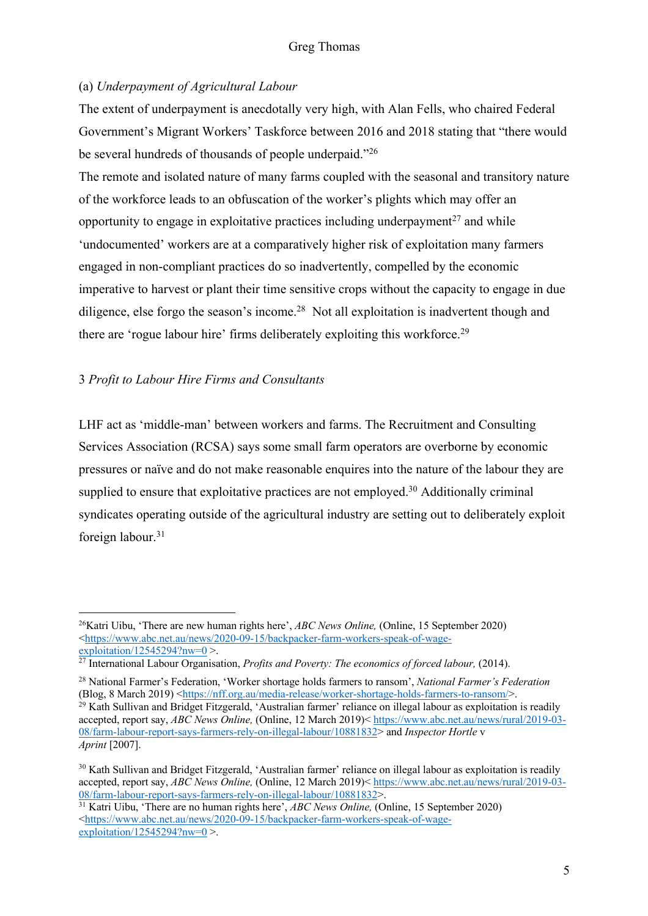# (a) *Underpayment of Agricultural Labour*

The extent of underpayment is anecdotally very high, with Alan Fells, who chaired Federal Government's Migrant Workers' Taskforce between 2016 and 2018 stating that "there would be several hundreds of thousands of people underpaid."26

The remote and isolated nature of many farms coupled with the seasonal and transitory nature of the workforce leads to an obfuscation of the worker's plights which may offer an opportunity to engage in exploitative practices including underpayment<sup>27</sup> and while 'undocumented' workers are at a comparatively higher risk of exploitation many farmers engaged in non-compliant practices do so inadvertently, compelled by the economic imperative to harvest or plant their time sensitive crops without the capacity to engage in due diligence, else forgo the season's income.<sup>28</sup> Not all exploitation is inadvertent though and there are 'rogue labour hire' firms deliberately exploiting this workforce.<sup>29</sup>

# 3 *Profit to Labour Hire Firms and Consultants*

LHF act as 'middle-man' between workers and farms. The Recruitment and Consulting Services Association (RCSA) says some small farm operators are overborne by economic pressures or naïve and do not make reasonable enquires into the nature of the labour they are supplied to ensure that exploitative practices are not employed.<sup>30</sup> Additionally criminal syndicates operating outside of the agricultural industry are setting out to deliberately exploit foreign labour.<sup>31</sup>

<sup>26</sup>Katri Uibu, 'There are new human rights here', *ABC News Online,* (Online, 15 September 2020) <https://www.abc.net.au/news/2020-09-15/backpacker-farm-workers-speak-of-wage $exploitation/12545294?nw=0$ 

<sup>&</sup>lt;sup>27</sup> International Labour Organisation, *Profits and Poverty: The economics of forced labour*, (2014).

<sup>28</sup> National Farmer's Federation, 'Worker shortage holds farmers to ransom', *National Farmer's Federation*  (Blog, 8 March 2019) <https://nff.org.au/media-release/worker-shortage-holds-farmers-to-ransom/>. <sup>29</sup> Kath Sullivan and Bridget Fitzgerald, 'Australian farmer' reliance on illegal labour as exploitation is readily accepted, report say, *ABC News Online,* (Online, 12 March 2019)< https://www.abc.net.au/news/rural/2019-03- 08/farm-labour-report-says-farmers-rely-on-illegal-labour/10881832> and *Inspector Hortle* v *Aprint* [2007].

<sup>&</sup>lt;sup>30</sup> Kath Sullivan and Bridget Fitzgerald, 'Australian farmer' reliance on illegal labour as exploitation is readily accepted, report say, *ABC News Online,* (Online, 12 March 2019)< https://www.abc.net.au/news/rural/2019-03- 08/farm-labour-report-says-farmers-rely-on-illegal-labour/10881832>.

<sup>31</sup> Katri Uibu, 'There are no human rights here', *ABC News Online,* (Online, 15 September 2020) <https://www.abc.net.au/news/2020-09-15/backpacker-farm-workers-speak-of-wageexploitation/12545294?nw=0  $>$ .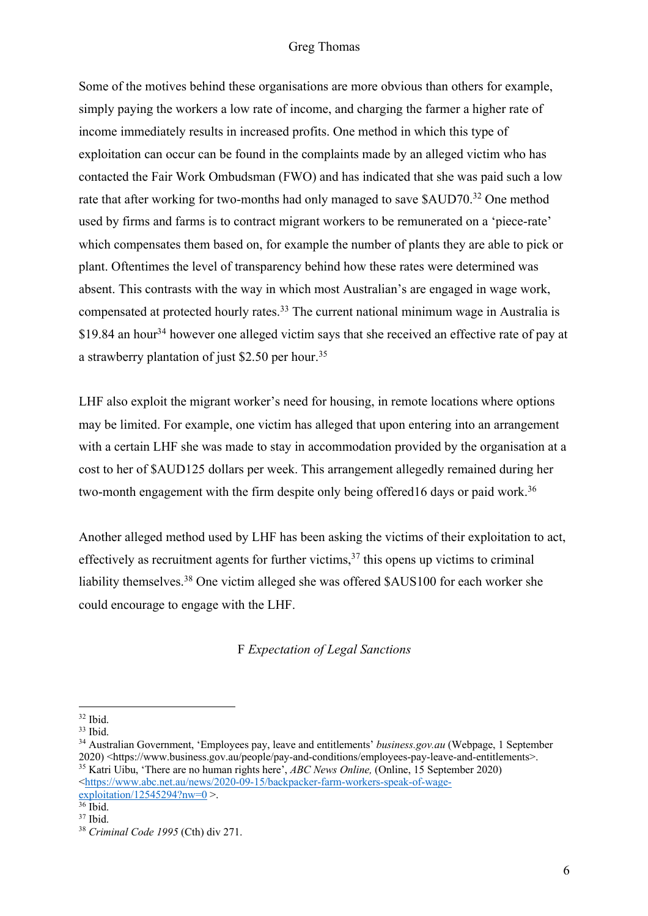Some of the motives behind these organisations are more obvious than others for example, simply paying the workers a low rate of income, and charging the farmer a higher rate of income immediately results in increased profits. One method in which this type of exploitation can occur can be found in the complaints made by an alleged victim who has contacted the Fair Work Ombudsman (FWO) and has indicated that she was paid such a low rate that after working for two-months had only managed to save \$AUD70.32 One method used by firms and farms is to contract migrant workers to be remunerated on a 'piece-rate' which compensates them based on, for example the number of plants they are able to pick or plant. Oftentimes the level of transparency behind how these rates were determined was absent. This contrasts with the way in which most Australian's are engaged in wage work, compensated at protected hourly rates.33 The current national minimum wage in Australia is  $$19.84$  an hour<sup>34</sup> however one alleged victim says that she received an effective rate of pay at a strawberry plantation of just \$2.50 per hour.35

LHF also exploit the migrant worker's need for housing, in remote locations where options may be limited. For example, one victim has alleged that upon entering into an arrangement with a certain LHF she was made to stay in accommodation provided by the organisation at a cost to her of \$AUD125 dollars per week. This arrangement allegedly remained during her two-month engagement with the firm despite only being offered16 days or paid work.<sup>36</sup>

Another alleged method used by LHF has been asking the victims of their exploitation to act, effectively as recruitment agents for further victims, <sup>37</sup> this opens up victims to criminal liability themselves.<sup>38</sup> One victim alleged she was offered \$AUS100 for each worker she could encourage to engage with the LHF.

F *Expectation of Legal Sanctions*

<sup>32</sup> Ibid. 33 Ibid. 34 Australian Government, 'Employees pay, leave and entitlements' *business.gov.au* (Webpage, 1 September 2020) <https://www.business.gov.au/people/pay-and-conditions/employees-pay-leave-and-entitlements>. 35 Katri Uibu, 'There are no human rights here', *ABC News Online,* (Online, 15 September 2020)

<sup>&</sup>lt;https://www.abc.net.au/news/2020-09-15/backpacker-farm-workers-speak-of-wage $exploitation/12545294?nw=0$  >.

<sup>36</sup> Ibid.  $37$  Ibid.

<sup>38</sup> *Criminal Code 1995* (Cth) div 271.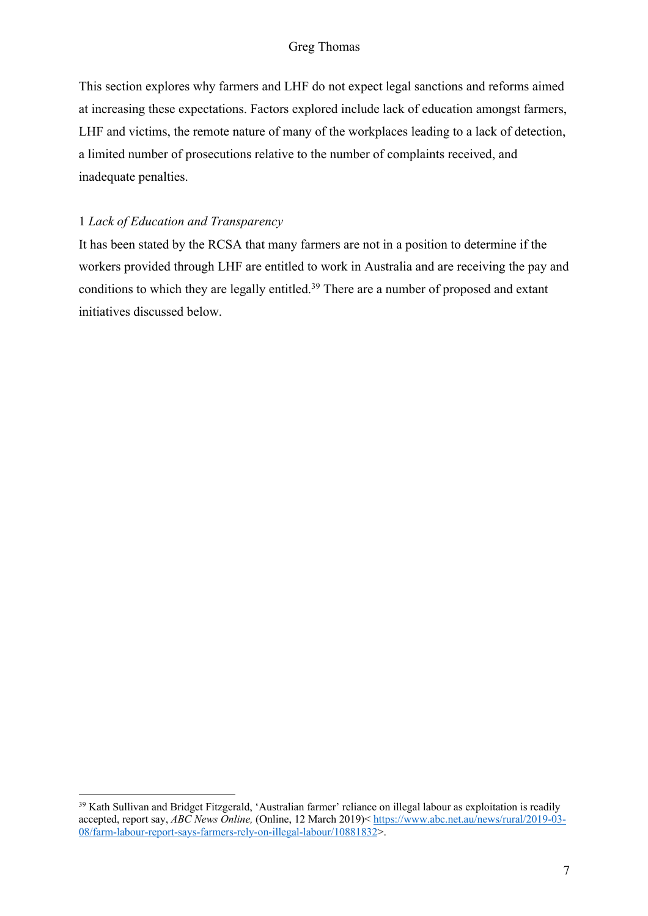This section explores why farmers and LHF do not expect legal sanctions and reforms aimed at increasing these expectations. Factors explored include lack of education amongst farmers, LHF and victims, the remote nature of many of the workplaces leading to a lack of detection, a limited number of prosecutions relative to the number of complaints received, and inadequate penalties.

## 1 *Lack of Education and Transparency*

It has been stated by the RCSA that many farmers are not in a position to determine if the workers provided through LHF are entitled to work in Australia and are receiving the pay and conditions to which they are legally entitled.<sup>39</sup> There are a number of proposed and extant initiatives discussed below.

<sup>&</sup>lt;sup>39</sup> Kath Sullivan and Bridget Fitzgerald, 'Australian farmer' reliance on illegal labour as exploitation is readily accepted, report say, *ABC News Online,* (Online, 12 March 2019)< https://www.abc.net.au/news/rural/2019-03- 08/farm-labour-report-says-farmers-rely-on-illegal-labour/10881832>.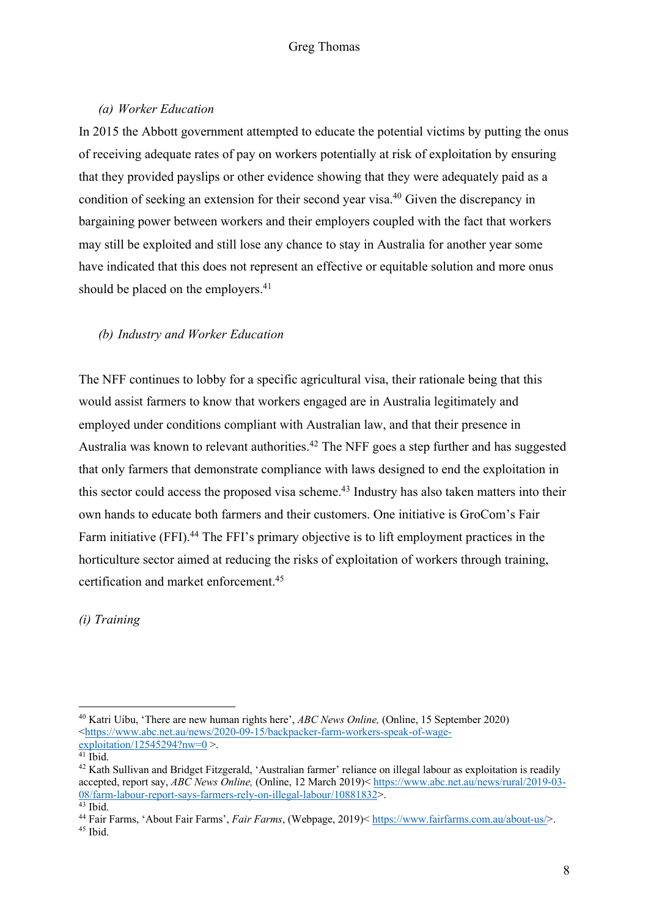## *(a) Worker Education*

In 2015 the Abbott government attempted to educate the potential victims by putting the onus of receiving adequate rates of pay on workers potentially at risk of exploitation by ensuring that they provided payslips or other evidence showing that they were adequately paid as a condition of seeking an extension for their second year visa.40 Given the discrepancy in bargaining power between workers and their employers coupled with the fact that workers may still be exploited and still lose any chance to stay in Australia for another year some have indicated that this does not represent an effective or equitable solution and more onus should be placed on the employers.<sup>41</sup>

# *(b) Industry and Worker Education*

The NFF continues to lobby for a specific agricultural visa, their rationale being that this would assist farmers to know that workers engaged are in Australia legitimately and employed under conditions compliant with Australian law, and that their presence in Australia was known to relevant authorities.<sup>42</sup> The NFF goes a step further and has suggested that only farmers that demonstrate compliance with laws designed to end the exploitation in this sector could access the proposed visa scheme. <sup>43</sup> Industry has also taken matters into their own hands to educate both farmers and their customers. One initiative is GroCom's Fair Farm initiative (FFI).<sup>44</sup> The FFI's primary objective is to lift employment practices in the horticulture sector aimed at reducing the risks of exploitation of workers through training, certification and market enforcement.45

*(i) Training* 

<sup>40</sup> Katri Uibu, 'There are new human rights here', *ABC News Online,* (Online, 15 September 2020) <https://www.abc.net.au/news/2020-09-15/backpacker-farm-workers-speak-of-wage- $\frac{\text{exploitation}}{12545294?n \text{w} = 0}$  >.

<sup>&</sup>lt;sup>42</sup> Kath Sullivan and Bridget Fitzgerald, 'Australian farmer' reliance on illegal labour as exploitation is readily accepted, report say, *ABC News Online,* (Online, 12 March 2019)< https://www.abc.net.au/news/rural/2019-03- 08/farm-labour-report-says-farmers-rely-on-illegal-labour/10881832>.

<sup>43</sup> Ibid. 44 Fair Farms, 'About Fair Farms', *Fair Farms*, (Webpage, 2019)< https://www.fairfarms.com.au/about-us/>.  $45$  Ibid.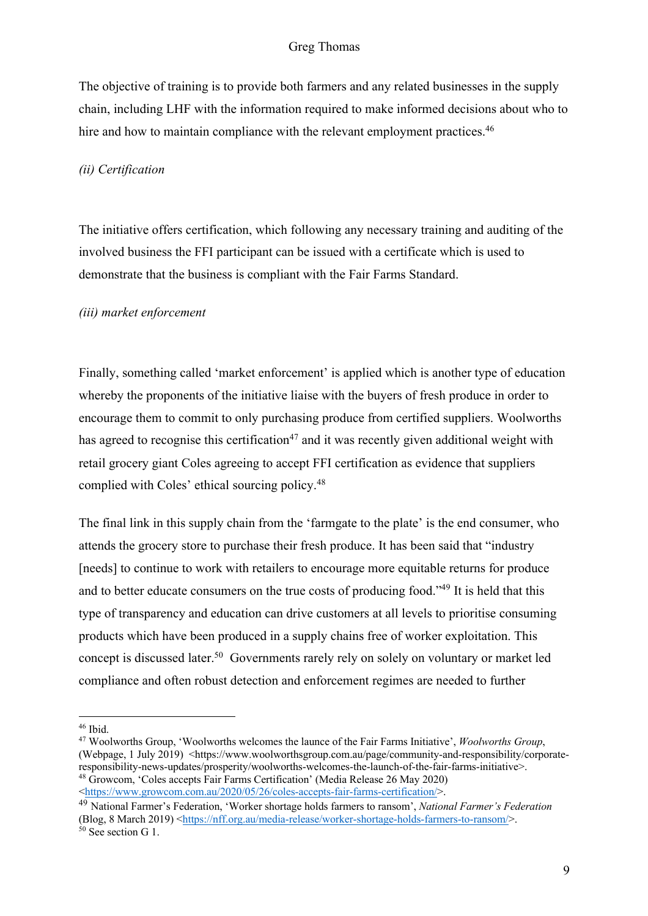The objective of training is to provide both farmers and any related businesses in the supply chain, including LHF with the information required to make informed decisions about who to hire and how to maintain compliance with the relevant employment practices.<sup>46</sup>

#### *(ii) Certification*

The initiative offers certification, which following any necessary training and auditing of the involved business the FFI participant can be issued with a certificate which is used to demonstrate that the business is compliant with the Fair Farms Standard.

#### *(iii) market enforcement*

Finally, something called 'market enforcement' is applied which is another type of education whereby the proponents of the initiative liaise with the buyers of fresh produce in order to encourage them to commit to only purchasing produce from certified suppliers. Woolworths has agreed to recognise this certification<sup>47</sup> and it was recently given additional weight with retail grocery giant Coles agreeing to accept FFI certification as evidence that suppliers complied with Coles' ethical sourcing policy.48

The final link in this supply chain from the 'farmgate to the plate' is the end consumer, who attends the grocery store to purchase their fresh produce. It has been said that "industry [needs] to continue to work with retailers to encourage more equitable returns for produce and to better educate consumers on the true costs of producing food."49 It is held that this type of transparency and education can drive customers at all levels to prioritise consuming products which have been produced in a supply chains free of worker exploitation. This concept is discussed later.<sup>50</sup> Governments rarely rely on solely on voluntary or market led compliance and often robust detection and enforcement regimes are needed to further

<sup>46</sup> Ibid.

<sup>47</sup> Woolworths Group, 'Woolworths welcomes the launce of the Fair Farms Initiative', *Woolworths Group*, (Webpage, 1 July 2019) <https://www.woolworthsgroup.com.au/page/community-and-responsibility/corporateresponsibility-news-updates/prosperity/woolworths-welcomes-the-launch-of-the-fair-farms-initiative>. <sup>48</sup> Growcom, 'Coles accepts Fair Farms Certification' (Media Release 26 May 2020) <https://www.growcom.com.au/2020/05/26/coles-accepts-fair-farms-certification/>.

<sup>49</sup> National Farmer's Federation, 'Worker shortage holds farmers to ransom', *National Farmer's Federation*  (Blog, 8 March 2019) <https://nff.org.au/media-release/worker-shortage-holds-farmers-to-ransom/>.  $50$  See section G 1.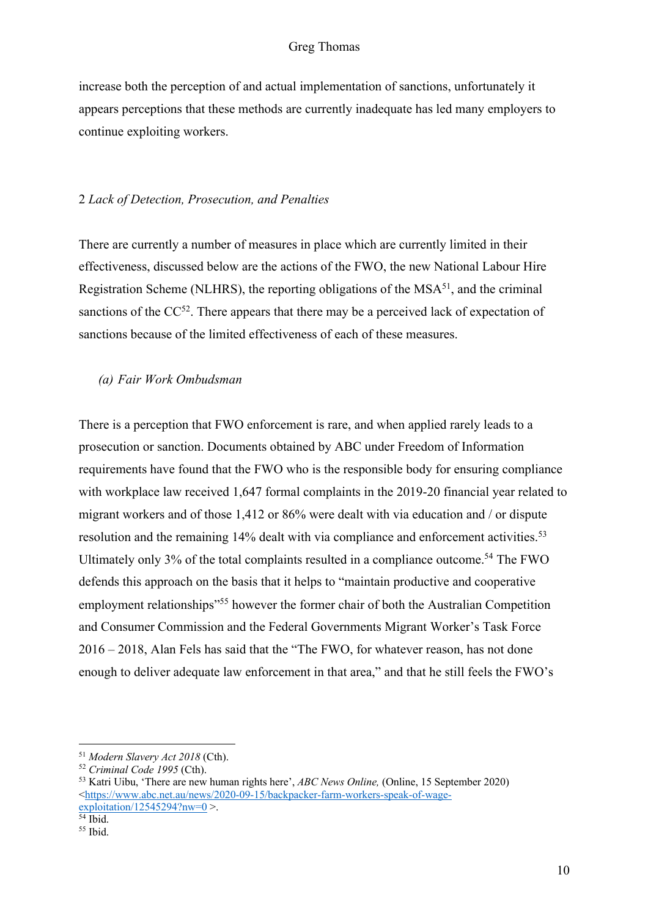increase both the perception of and actual implementation of sanctions, unfortunately it appears perceptions that these methods are currently inadequate has led many employers to continue exploiting workers.

#### 2 *Lack of Detection, Prosecution, and Penalties*

There are currently a number of measures in place which are currently limited in their effectiveness, discussed below are the actions of the FWO, the new National Labour Hire Registration Scheme (NLHRS), the reporting obligations of the  $MSA<sup>51</sup>$ , and the criminal sanctions of the  $CC^{52}$ . There appears that there may be a perceived lack of expectation of sanctions because of the limited effectiveness of each of these measures.

#### *(a) Fair Work Ombudsman*

There is a perception that FWO enforcement is rare, and when applied rarely leads to a prosecution or sanction. Documents obtained by ABC under Freedom of Information requirements have found that the FWO who is the responsible body for ensuring compliance with workplace law received 1,647 formal complaints in the 2019-20 financial year related to migrant workers and of those 1,412 or 86% were dealt with via education and / or dispute resolution and the remaining 14% dealt with via compliance and enforcement activities.<sup>53</sup> Ultimately only  $3\%$  of the total complaints resulted in a compliance outcome.<sup>54</sup> The FWO defends this approach on the basis that it helps to "maintain productive and cooperative employment relationships<sup>"55</sup> however the former chair of both the Australian Competition and Consumer Commission and the Federal Governments Migrant Worker's Task Force 2016 – 2018, Alan Fels has said that the "The FWO, for whatever reason, has not done enough to deliver adequate law enforcement in that area," and that he still feels the FWO's

<sup>51</sup> *Modern Slavery Act 2018* (Cth).

<sup>52</sup> *Criminal Code 1995* (Cth).

<sup>53</sup> Katri Uibu, 'There are new human rights here', *ABC News Online,* (Online, 15 September 2020) <https://www.abc.net.au/news/2020-09-15/backpacker-farm-workers-speak-of-wage $explotation/12545294?nw=0$ 

 $54$  Ibid.

 $55$  Ihid.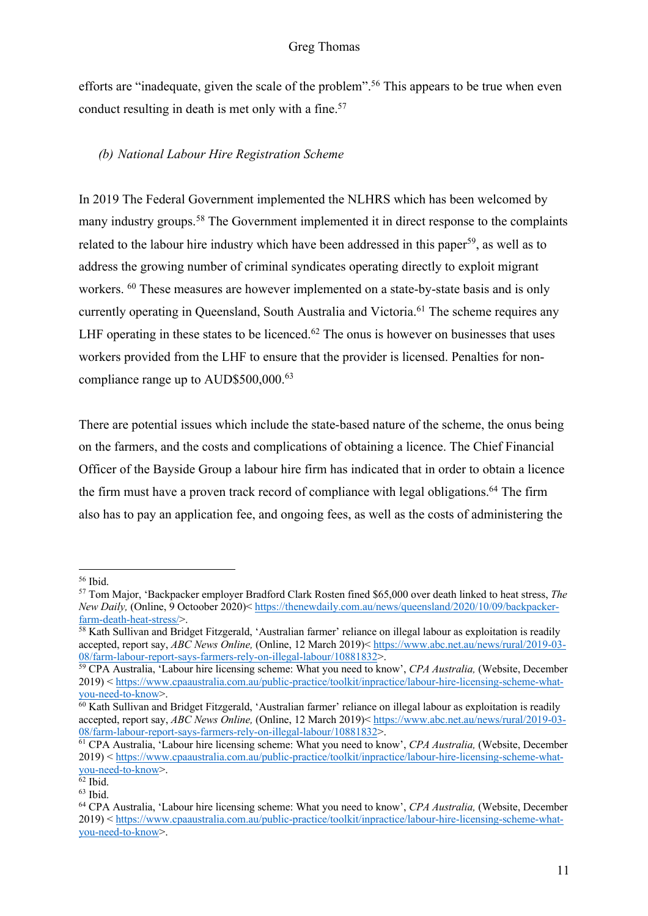efforts are "inadequate, given the scale of the problem".<sup>56</sup> This appears to be true when even conduct resulting in death is met only with a fine.<sup>57</sup>

# *(b) National Labour Hire Registration Scheme*

In 2019 The Federal Government implemented the NLHRS which has been welcomed by many industry groups.58 The Government implemented it in direct response to the complaints related to the labour hire industry which have been addressed in this paper<sup>59</sup>, as well as to address the growing number of criminal syndicates operating directly to exploit migrant workers. <sup>60</sup> These measures are however implemented on a state-by-state basis and is only currently operating in Queensland, South Australia and Victoria.<sup>61</sup> The scheme requires any LHF operating in these states to be licenced.<sup>62</sup> The onus is however on businesses that uses workers provided from the LHF to ensure that the provider is licensed. Penalties for noncompliance range up to AUD\$500,000.63

There are potential issues which include the state-based nature of the scheme, the onus being on the farmers, and the costs and complications of obtaining a licence. The Chief Financial Officer of the Bayside Group a labour hire firm has indicated that in order to obtain a licence the firm must have a proven track record of compliance with legal obligations. <sup>64</sup> The firm also has to pay an application fee, and ongoing fees, as well as the costs of administering the

<sup>56</sup> Ibid.

<sup>57</sup> Tom Major, 'Backpacker employer Bradford Clark Rosten fined \$65,000 over death linked to heat stress, *The New Daily,* (Online, 9 Octoober 2020)< https://thenewdaily.com.au/news/queensland/2020/10/09/backpackerfarm-death-heat-stress/>.

<sup>&</sup>lt;sup>58</sup> Kath Sullivan and Bridget Fitzgerald, 'Australian farmer' reliance on illegal labour as exploitation is readily accepted, report say, *ABC News Online,* (Online, 12 March 2019)< https://www.abc.net.au/news/rural/2019-03- 08/farm-labour-report-says-farmers-rely-on-illegal-labour/10881832>.

<sup>59</sup> CPA Australia, 'Labour hire licensing scheme: What you need to know', *CPA Australia,* (Website, December 2019) < https://www.cpaaustralia.com.au/public-practice/toolkit/inpractice/labour-hire-licensing-scheme-whatyou-need-to-know>.

 $\overline{60}$  Kath Sullivan and Bridget Fitzgerald, 'Australian farmer' reliance on illegal labour as exploitation is readily accepted, report say, *ABC News Online,* (Online, 12 March 2019)< https://www.abc.net.au/news/rural/2019-03- 08/farm-labour-report-says-farmers-rely-on-illegal-labour/10881832>.

<sup>61</sup> CPA Australia, 'Labour hire licensing scheme: What you need to know', *CPA Australia,* (Website, December 2019) < https://www.cpaaustralia.com.au/public-practice/toolkit/inpractice/labour-hire-licensing-scheme-whatyou-need-to-know>.

<sup>62</sup> Ibid.  $63$  Ibid.

<sup>64</sup> CPA Australia, 'Labour hire licensing scheme: What you need to know', *CPA Australia,* (Website, December 2019) < https://www.cpaaustralia.com.au/public-practice/toolkit/inpractice/labour-hire-licensing-scheme-whatyou-need-to-know>.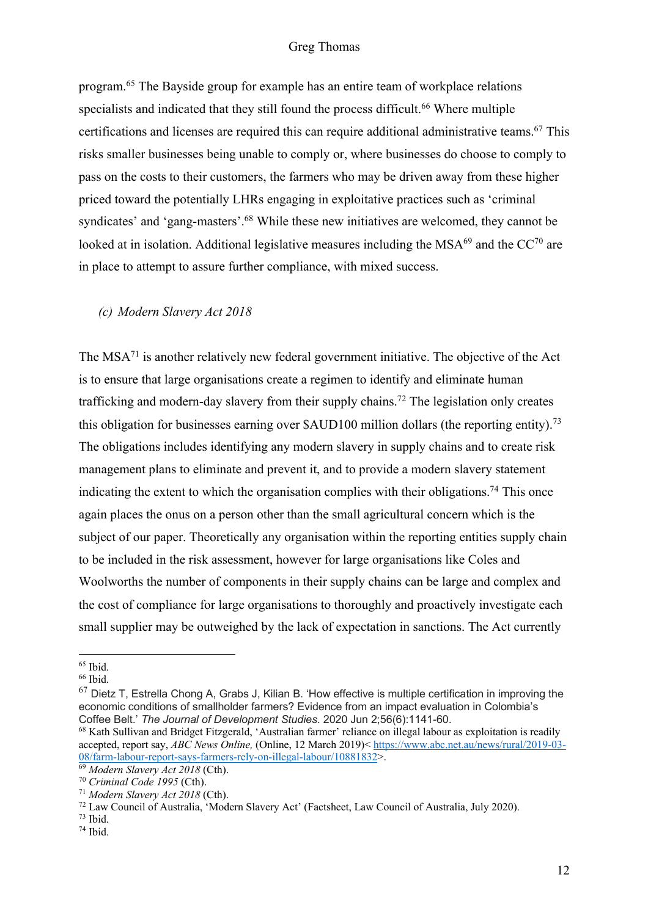program.65 The Bayside group for example has an entire team of workplace relations specialists and indicated that they still found the process difficult.<sup>66</sup> Where multiple certifications and licenses are required this can require additional administrative teams.67 This risks smaller businesses being unable to comply or, where businesses do choose to comply to pass on the costs to their customers, the farmers who may be driven away from these higher priced toward the potentially LHRs engaging in exploitative practices such as 'criminal syndicates' and 'gang-masters'.<sup>68</sup> While these new initiatives are welcomed, they cannot be looked at in isolation. Additional legislative measures including the  $MSA<sup>69</sup>$  and the  $CC<sup>70</sup>$  are in place to attempt to assure further compliance, with mixed success.

### *(c) Modern Slavery Act 2018*

The MSA<sup>71</sup> is another relatively new federal government initiative. The objective of the Act is to ensure that large organisations create a regimen to identify and eliminate human trafficking and modern-day slavery from their supply chains.72 The legislation only creates this obligation for businesses earning over  $\text{\$AUD100}$  million dollars (the reporting entity).<sup>73</sup> The obligations includes identifying any modern slavery in supply chains and to create risk management plans to eliminate and prevent it, and to provide a modern slavery statement indicating the extent to which the organisation complies with their obligations.<sup>74</sup> This once again places the onus on a person other than the small agricultural concern which is the subject of our paper. Theoretically any organisation within the reporting entities supply chain to be included in the risk assessment, however for large organisations like Coles and Woolworths the number of components in their supply chains can be large and complex and the cost of compliance for large organisations to thoroughly and proactively investigate each small supplier may be outweighed by the lack of expectation in sanctions. The Act currently

 $65$  Ibid.<br> $66$  Ibid.

 $67$  Dietz T, Estrella Chong A, Grabs J, Kilian B. 'How effective is multiple certification in improving the economic conditions of smallholder farmers? Evidence from an impact evaluation in Colombia's Coffee Belt.' *The Journal of Development Studies*. 2020 Jun 2;56(6):1141-60.

<sup>&</sup>lt;sup>68</sup> Kath Sullivan and Bridget Fitzgerald, 'Australian farmer' reliance on illegal labour as exploitation is readily accepted, report say, *ABC News Online,* (Online, 12 March 2019)< https://www.abc.net.au/news/rural/2019-03- 08/farm-labour-report-says-farmers-rely-on-illegal-labour/10881832>.

<sup>69</sup> *Modern Slavery Act 2018* (Cth).

<sup>70</sup> *Criminal Code 1995* (Cth).

<sup>71</sup> *Modern Slavery Act 2018* (Cth).

 $^{72}$  Law Council of Australia, 'Modern Slavery Act' (Factsheet, Law Council of Australia, July 2020).<br> $^{73}$  Ibid.

 $74$  Ibid.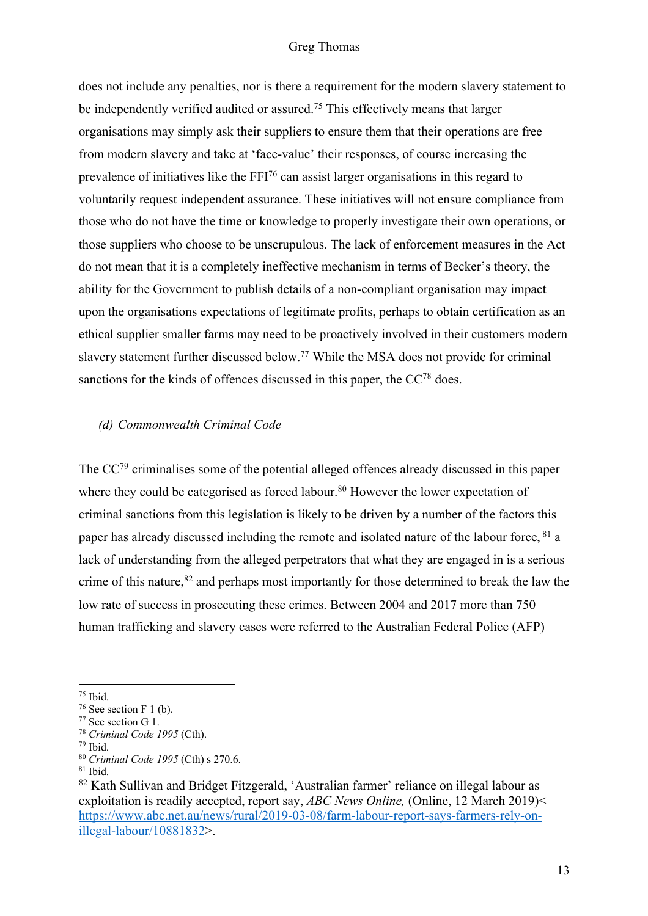does not include any penalties, nor is there a requirement for the modern slavery statement to be independently verified audited or assured.<sup>75</sup> This effectively means that larger organisations may simply ask their suppliers to ensure them that their operations are free from modern slavery and take at 'face-value' their responses, of course increasing the prevalence of initiatives like the FFI76 can assist larger organisations in this regard to voluntarily request independent assurance. These initiatives will not ensure compliance from those who do not have the time or knowledge to properly investigate their own operations, or those suppliers who choose to be unscrupulous. The lack of enforcement measures in the Act do not mean that it is a completely ineffective mechanism in terms of Becker's theory, the ability for the Government to publish details of a non-compliant organisation may impact upon the organisations expectations of legitimate profits, perhaps to obtain certification as an ethical supplier smaller farms may need to be proactively involved in their customers modern slavery statement further discussed below.<sup>77</sup> While the MSA does not provide for criminal sanctions for the kinds of offences discussed in this paper, the CC<sup>78</sup> does.

### *(d) Commonwealth Criminal Code*

The CC<sup>79</sup> criminalises some of the potential alleged offences already discussed in this paper where they could be categorised as forced labour.<sup>80</sup> However the lower expectation of criminal sanctions from this legislation is likely to be driven by a number of the factors this paper has already discussed including the remote and isolated nature of the labour force, <sup>81</sup> a lack of understanding from the alleged perpetrators that what they are engaged in is a serious crime of this nature,<sup>82</sup> and perhaps most importantly for those determined to break the law the low rate of success in prosecuting these crimes. Between 2004 and 2017 more than 750 human trafficking and slavery cases were referred to the Australian Federal Police (AFP)

<sup>&</sup>lt;sup>75</sup> Ibid.<br><sup>76</sup> See section F 1 (b).

<sup>77</sup> See section G 1. 78 *Criminal Code 1995* (Cth).

 $79$  Ibid.

<sup>80</sup> *Criminal Code 1995* (Cth) s 270.6.

 $81$  Ibid.

<sup>82</sup> Kath Sullivan and Bridget Fitzgerald, 'Australian farmer' reliance on illegal labour as exploitation is readily accepted, report say, *ABC News Online,* (Online, 12 March 2019)< https://www.abc.net.au/news/rural/2019-03-08/farm-labour-report-says-farmers-rely-onillegal-labour/10881832>.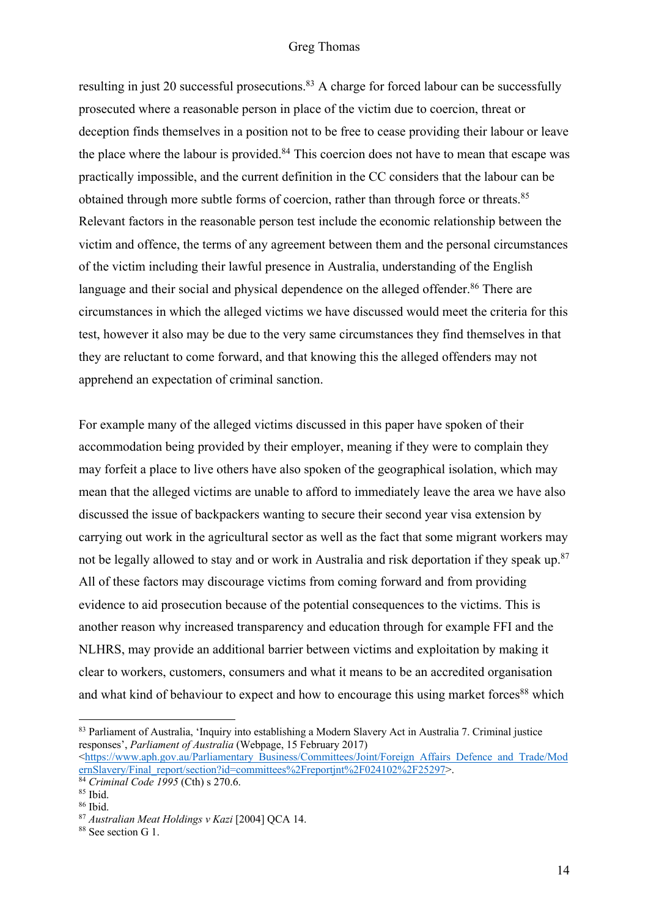resulting in just 20 successful prosecutions.<sup>83</sup> A charge for forced labour can be successfully prosecuted where a reasonable person in place of the victim due to coercion, threat or deception finds themselves in a position not to be free to cease providing their labour or leave the place where the labour is provided.<sup>84</sup> This coercion does not have to mean that escape was practically impossible, and the current definition in the CC considers that the labour can be obtained through more subtle forms of coercion, rather than through force or threats.<sup>85</sup> Relevant factors in the reasonable person test include the economic relationship between the victim and offence, the terms of any agreement between them and the personal circumstances of the victim including their lawful presence in Australia, understanding of the English language and their social and physical dependence on the alleged offender.<sup>86</sup> There are circumstances in which the alleged victims we have discussed would meet the criteria for this test, however it also may be due to the very same circumstances they find themselves in that they are reluctant to come forward, and that knowing this the alleged offenders may not apprehend an expectation of criminal sanction.

For example many of the alleged victims discussed in this paper have spoken of their accommodation being provided by their employer, meaning if they were to complain they may forfeit a place to live others have also spoken of the geographical isolation, which may mean that the alleged victims are unable to afford to immediately leave the area we have also discussed the issue of backpackers wanting to secure their second year visa extension by carrying out work in the agricultural sector as well as the fact that some migrant workers may not be legally allowed to stay and or work in Australia and risk deportation if they speak up.<sup>87</sup> All of these factors may discourage victims from coming forward and from providing evidence to aid prosecution because of the potential consequences to the victims. This is another reason why increased transparency and education through for example FFI and the NLHRS, may provide an additional barrier between victims and exploitation by making it clear to workers, customers, consumers and what it means to be an accredited organisation and what kind of behaviour to expect and how to encourage this using market forces<sup>88</sup> which

<sup>83</sup> Parliament of Australia, 'Inquiry into establishing a Modern Slavery Act in Australia 7. Criminal justice responses', *Parliament of Australia* (Webpage, 15 February 2017)

<sup>&</sup>lt;https://www.aph.gov.au/Parliamentary\_Business/Committees/Joint/Foreign\_Affairs\_Defence\_and\_Trade/Mod ernSlavery/Final\_report/section?id=committees%2Freportjnt%2F024102%2F25297>. 84 *Criminal Code 1995* (Cth) s 270.6.

 $85$  Ibid.<br> $86$  Ibid.

<sup>&</sup>lt;sup>87</sup> *Australian Meat Holdings v Kazi* [2004] OCA 14.

<sup>&</sup>lt;sup>88</sup> See section G 1.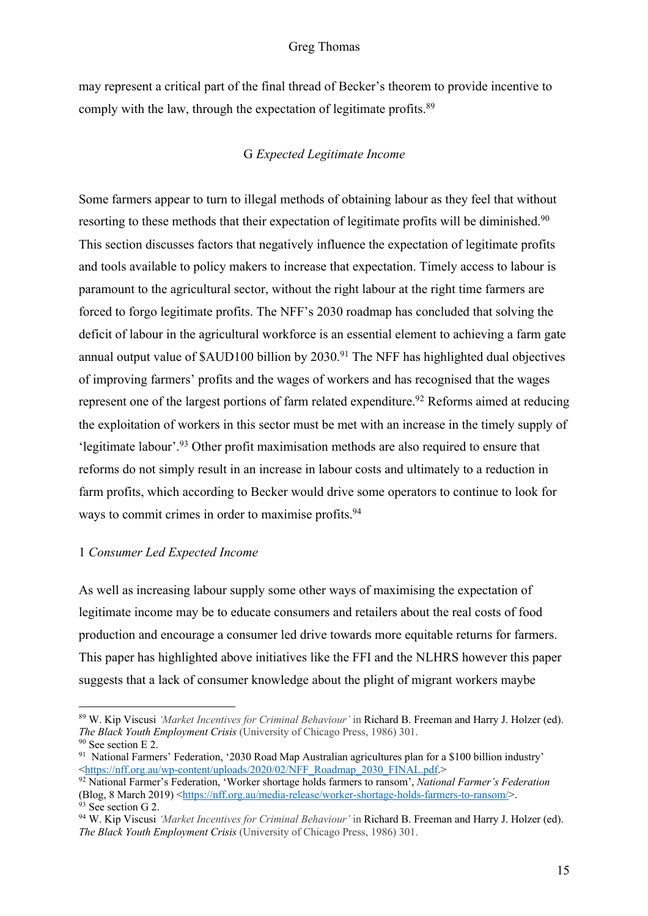may represent a critical part of the final thread of Becker's theorem to provide incentive to comply with the law, through the expectation of legitimate profits.<sup>89</sup>

# G *Expected Legitimate Income*

Some farmers appear to turn to illegal methods of obtaining labour as they feel that without resorting to these methods that their expectation of legitimate profits will be diminished.<sup>90</sup> This section discusses factors that negatively influence the expectation of legitimate profits and tools available to policy makers to increase that expectation. Timely access to labour is paramount to the agricultural sector, without the right labour at the right time farmers are forced to forgo legitimate profits. The NFF's 2030 roadmap has concluded that solving the deficit of labour in the agricultural workforce is an essential element to achieving a farm gate annual output value of  $\text{\$AUD100}$  billion by 2030.<sup>91</sup> The NFF has highlighted dual objectives of improving farmers' profits and the wages of workers and has recognised that the wages represent one of the largest portions of farm related expenditure.<sup>92</sup> Reforms aimed at reducing the exploitation of workers in this sector must be met with an increase in the timely supply of 'legitimate labour'. <sup>93</sup> Other profit maximisation methods are also required to ensure that reforms do not simply result in an increase in labour costs and ultimately to a reduction in farm profits, which according to Becker would drive some operators to continue to look for ways to commit crimes in order to maximise profits.<sup>94</sup>

#### 1 *Consumer Led Expected Income*

As well as increasing labour supply some other ways of maximising the expectation of legitimate income may be to educate consumers and retailers about the real costs of food production and encourage a consumer led drive towards more equitable returns for farmers. This paper has highlighted above initiatives like the FFI and the NLHRS however this paper suggests that a lack of consumer knowledge about the plight of migrant workers maybe

<sup>89</sup> W. Kip Viscusi *'Market Incentives for Criminal Behaviour'* in Richard B. Freeman and Harry J. Holzer (ed). *The Black Youth Employment Crisis* (University of Chicago Press, 1986) 301. <sup>90</sup> See section E 2.

<sup>&</sup>lt;sup>91</sup> National Farmers' Federation, '2030 Road Map Australian agricultures plan for a \$100 billion industry' <https://nff.org.au/wp-content/uploads/2020/02/NFF Roadmap 2030 FINAL.pdf.>

<sup>&</sup>lt;sup>92</sup> National Farmer's Federation, 'Worker shortage holds farmers to ransom', *National Farmer's Federation* (Blog, 8 March 2019) <https://nff.org.au/media-release/worker-shortage-holds-farmers-to-ransom/>.  $93$  See section G 2.

<sup>94</sup> W. Kip Viscusi *'Market Incentives for Criminal Behaviour'* in Richard B. Freeman and Harry J. Holzer (ed). *The Black Youth Employment Crisis* (University of Chicago Press, 1986) 301.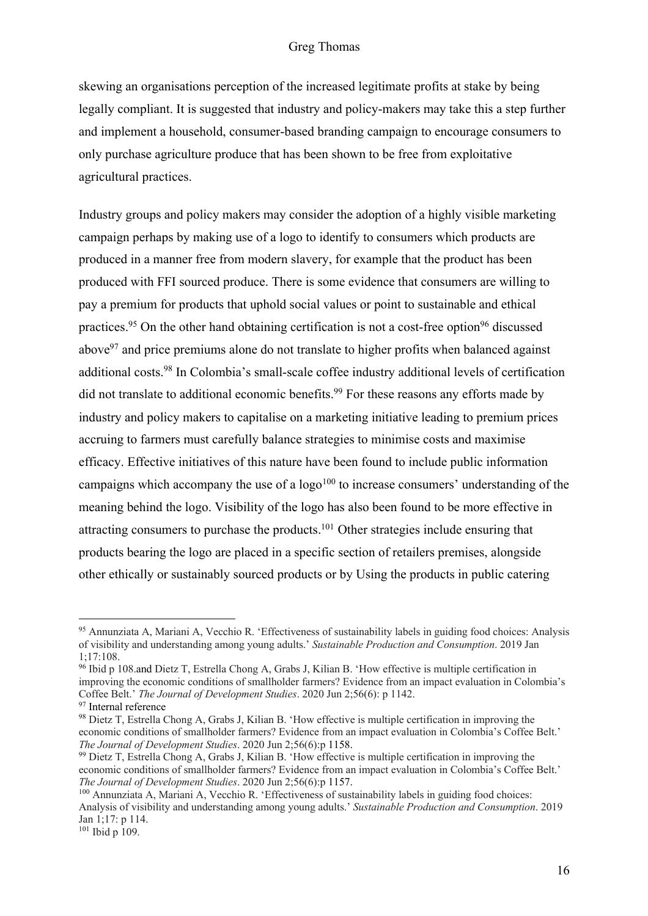skewing an organisations perception of the increased legitimate profits at stake by being legally compliant. It is suggested that industry and policy-makers may take this a step further and implement a household, consumer-based branding campaign to encourage consumers to only purchase agriculture produce that has been shown to be free from exploitative agricultural practices.

Industry groups and policy makers may consider the adoption of a highly visible marketing campaign perhaps by making use of a logo to identify to consumers which products are produced in a manner free from modern slavery, for example that the product has been produced with FFI sourced produce. There is some evidence that consumers are willing to pay a premium for products that uphold social values or point to sustainable and ethical practices.<sup>95</sup> On the other hand obtaining certification is not a cost-free option<sup>96</sup> discussed above<sup>97</sup> and price premiums alone do not translate to higher profits when balanced against additional costs.<sup>98</sup> In Colombia's small-scale coffee industry additional levels of certification did not translate to additional economic benefits.<sup>99</sup> For these reasons any efforts made by industry and policy makers to capitalise on a marketing initiative leading to premium prices accruing to farmers must carefully balance strategies to minimise costs and maximise efficacy. Effective initiatives of this nature have been found to include public information campaigns which accompany the use of a  $logo<sup>100</sup>$  to increase consumers' understanding of the meaning behind the logo. Visibility of the logo has also been found to be more effective in attracting consumers to purchase the products.101 Other strategies include ensuring that products bearing the logo are placed in a specific section of retailers premises, alongside other ethically or sustainably sourced products or by Using the products in public catering

<sup>96</sup> Ibid p 108.and Dietz T, Estrella Chong A, Grabs J, Kilian B. 'How effective is multiple certification in improving the economic conditions of smallholder farmers? Evidence from an impact evaluation in Colombia's Coffee Belt.' *The Journal of Development Studies*. 2020 Jun 2;56(6): p 1142.

<sup>95</sup> Annunziata A, Mariani A, Vecchio R. 'Effectiveness of sustainability labels in guiding food choices: Analysis of visibility and understanding among young adults.' *Sustainable Production and Consumption*. 2019 Jan 1;17:108.

<sup>&</sup>lt;sup>97</sup> Internal reference

<sup>98</sup> Dietz T, Estrella Chong A, Grabs J, Kilian B. 'How effective is multiple certification in improving the economic conditions of smallholder farmers? Evidence from an impact evaluation in Colombia's Coffee Belt.' *The Journal of Development Studies*. 2020 Jun 2;56(6):p 1158.

<sup>99</sup> Dietz T, Estrella Chong A, Grabs J, Kilian B. 'How effective is multiple certification in improving the economic conditions of smallholder farmers? Evidence from an impact evaluation in Colombia's Coffee Belt.' *The Journal of Development Studies*. 2020 Jun 2;56(6):p 1157.

<sup>100</sup> Annunziata A, Mariani A, Vecchio R. 'Effectiveness of sustainability labels in guiding food choices: Analysis of visibility and understanding among young adults.' *Sustainable Production and Consumption*. 2019 Jan 1;17: p 114.

 $101$  Ibid p 109.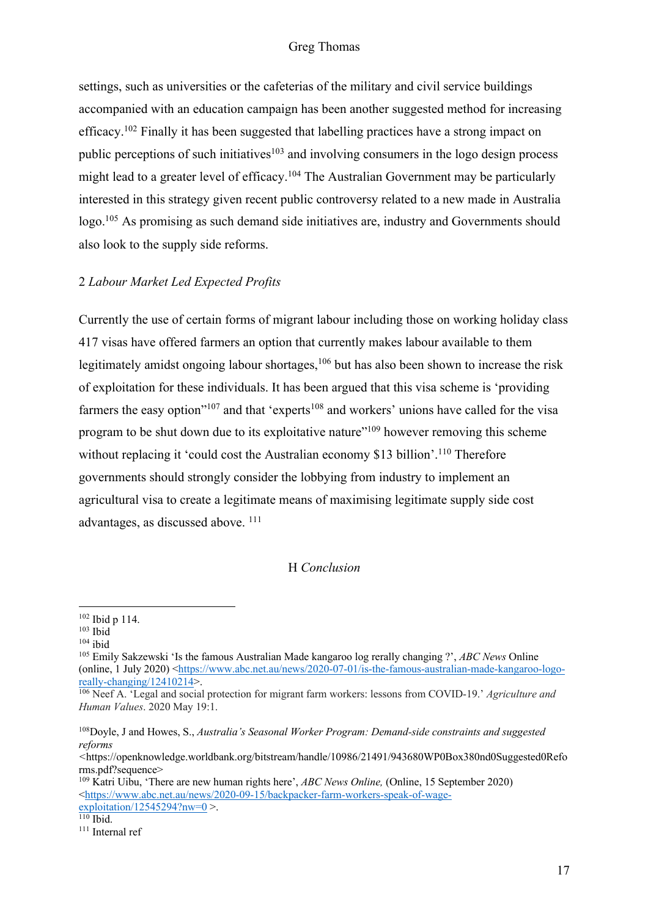settings, such as universities or the cafeterias of the military and civil service buildings accompanied with an education campaign has been another suggested method for increasing efficacy.102 Finally it has been suggested that labelling practices have a strong impact on public perceptions of such initiatives<sup>103</sup> and involving consumers in the logo design process might lead to a greater level of efficacy.<sup>104</sup> The Australian Government may be particularly interested in this strategy given recent public controversy related to a new made in Australia logo.105 As promising as such demand side initiatives are, industry and Governments should also look to the supply side reforms.

## 2 *Labour Market Led Expected Profits*

Currently the use of certain forms of migrant labour including those on working holiday class 417 visas have offered farmers an option that currently makes labour available to them legitimately amidst ongoing labour shortages,  $106$  but has also been shown to increase the risk of exploitation for these individuals. It has been argued that this visa scheme is 'providing farmers the easy option"<sup>107</sup> and that 'experts<sup>108</sup> and workers' unions have called for the visa program to be shut down due to its exploitative nature"<sup>109</sup> however removing this scheme without replacing it 'could cost the Australian economy \$13 billion'.<sup>110</sup> Therefore governments should strongly consider the lobbying from industry to implement an agricultural visa to create a legitimate means of maximising legitimate supply side cost advantages, as discussed above. 111

#### H *Conclusion*

<sup>102</sup> Ibid p 114.

 $103$  Ibid

 $^{104}$ ibid

<sup>105</sup> Emily Sakzewski 'Is the famous Australian Made kangaroo log rerally changing ?', *ABC News* Online (online, 1 July 2020) <https://www.abc.net.au/news/2020-07-01/is-the-famous-australian-made-kangaroo-logoreally-changing/12410214>.

<sup>106</sup> Neef A. 'Legal and social protection for migrant farm workers: lessons from COVID-19.' *Agriculture and Human Values*. 2020 May 19:1.

<sup>108</sup>Doyle, J and Howes, S., *Australia's Seasonal Worker Program: Demand-side constraints and suggested reforms* 

*<sup>&</sup>lt;*https://openknowledge.worldbank.org/bitstream/handle/10986/21491/943680WP0Box380nd0Suggested0Refo rms.pdf?sequence>

<sup>109</sup> Katri Uibu, 'There are new human rights here', *ABC News Online,* (Online, 15 September 2020) <https://www.abc.net.au/news/2020-09-15/backpacker-farm-workers-speak-of-wage $exploitation/12545294?nw=0$  >.

<sup>110</sup> Ibid.

<sup>111</sup> Internal ref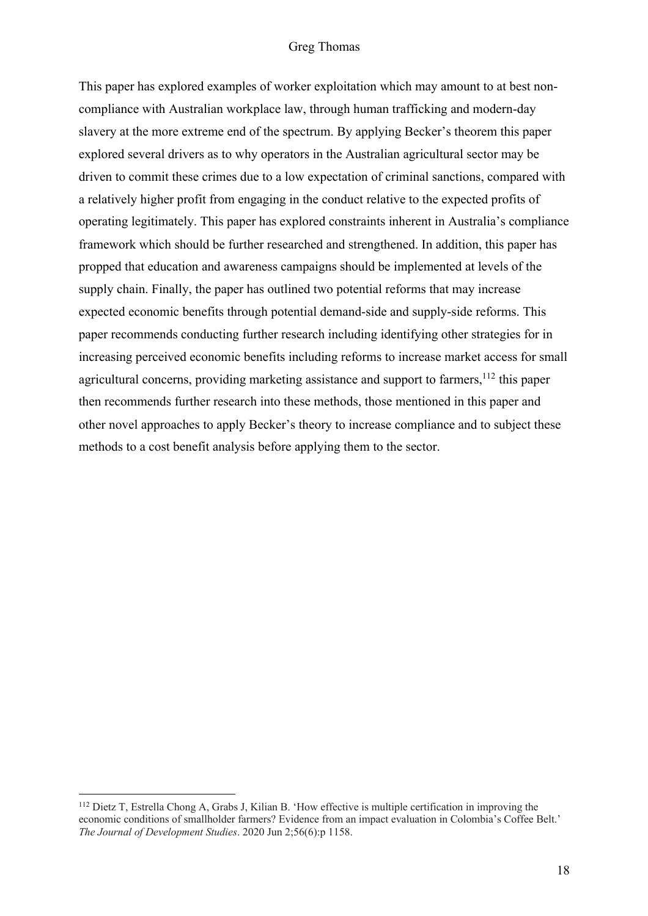This paper has explored examples of worker exploitation which may amount to at best noncompliance with Australian workplace law, through human trafficking and modern-day slavery at the more extreme end of the spectrum. By applying Becker's theorem this paper explored several drivers as to why operators in the Australian agricultural sector may be driven to commit these crimes due to a low expectation of criminal sanctions, compared with a relatively higher profit from engaging in the conduct relative to the expected profits of operating legitimately. This paper has explored constraints inherent in Australia's compliance framework which should be further researched and strengthened. In addition, this paper has propped that education and awareness campaigns should be implemented at levels of the supply chain. Finally, the paper has outlined two potential reforms that may increase expected economic benefits through potential demand-side and supply-side reforms. This paper recommends conducting further research including identifying other strategies for in increasing perceived economic benefits including reforms to increase market access for small agricultural concerns, providing marketing assistance and support to farmers,<sup>112</sup> this paper then recommends further research into these methods, those mentioned in this paper and other novel approaches to apply Becker's theory to increase compliance and to subject these methods to a cost benefit analysis before applying them to the sector.

<sup>112</sup> Dietz T, Estrella Chong A, Grabs J, Kilian B. 'How effective is multiple certification in improving the economic conditions of smallholder farmers? Evidence from an impact evaluation in Colombia's Coffee Belt.' *The Journal of Development Studies*. 2020 Jun 2;56(6):p 1158.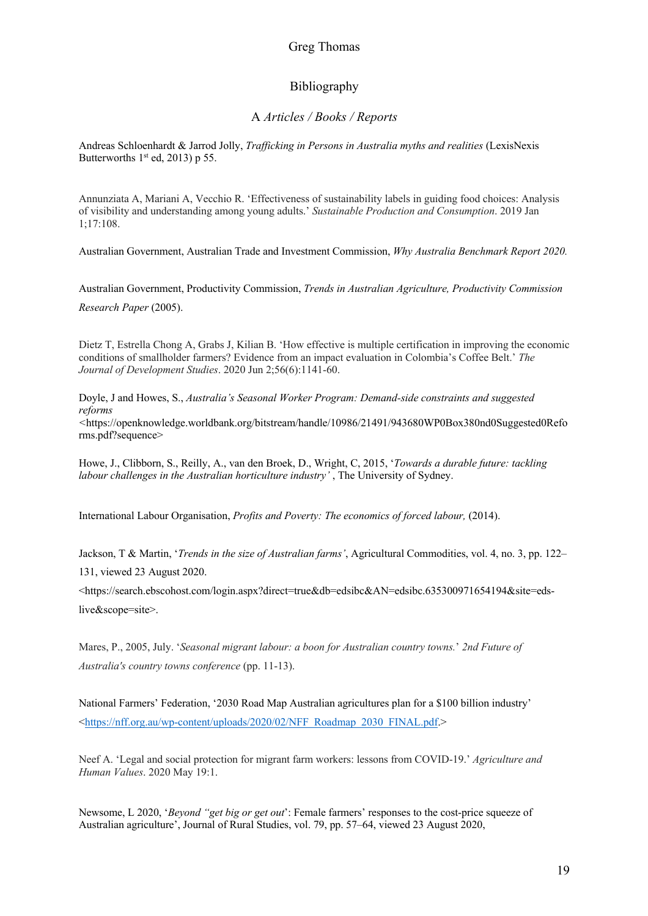# Bibliography

## A *Articles / Books / Reports*

Andreas Schloenhardt & Jarrod Jolly, *Trafficking in Persons in Australia myths and realities* (LexisNexis Butterworths  $1<sup>st</sup>$  ed, 2013) p 55.

Annunziata A, Mariani A, Vecchio R. 'Effectiveness of sustainability labels in guiding food choices: Analysis of visibility and understanding among young adults.' *Sustainable Production and Consumption*. 2019 Jan 1;17:108.

Australian Government, Australian Trade and Investment Commission, *Why Australia Benchmark Report 2020.*

Australian Government, Productivity Commission, *Trends in Australian Agriculture, Productivity Commission Research Paper* (2005).

Dietz T, Estrella Chong A, Grabs J, Kilian B. 'How effective is multiple certification in improving the economic conditions of smallholder farmers? Evidence from an impact evaluation in Colombia's Coffee Belt.' *The Journal of Development Studies*. 2020 Jun 2;56(6):1141-60.

Doyle, J and Howes, S., *Australia's Seasonal Worker Program: Demand-side constraints and suggested reforms* 

*<*https://openknowledge.worldbank.org/bitstream/handle/10986/21491/943680WP0Box380nd0Suggested0Refo rms.pdf?sequence>

Howe, J., Clibborn, S., Reilly, A., van den Broek, D., Wright, C, 2015, '*Towards a durable future: tackling labour challenges in the Australian horticulture industry'* , The University of Sydney.

International Labour Organisation, *Profits and Poverty: The economics of forced labour,* (2014).

Jackson, T & Martin, '*Trends in the size of Australian farms'*, Agricultural Commodities, vol. 4, no. 3, pp. 122– 131, viewed 23 August 2020.

<https://search.ebscohost.com/login.aspx?direct=true&db=edsibc&AN=edsibc.635300971654194&site=edslive&scope=site>.

Mares, P., 2005, July. '*Seasonal migrant labour: a boon for Australian country towns.*' *2nd Future of Australia's country towns conference* (pp. 11-13).

National Farmers' Federation, '2030 Road Map Australian agricultures plan for a \$100 billion industry' <https://nff.org.au/wp-content/uploads/2020/02/NFF\_Roadmap\_2030\_FINAL.pdf.>

Neef A. 'Legal and social protection for migrant farm workers: lessons from COVID-19.' *Agriculture and Human Values*. 2020 May 19:1.

Newsome, L 2020, '*Beyond "get big or get out*': Female farmers' responses to the cost-price squeeze of Australian agriculture', Journal of Rural Studies, vol. 79, pp. 57–64, viewed 23 August 2020,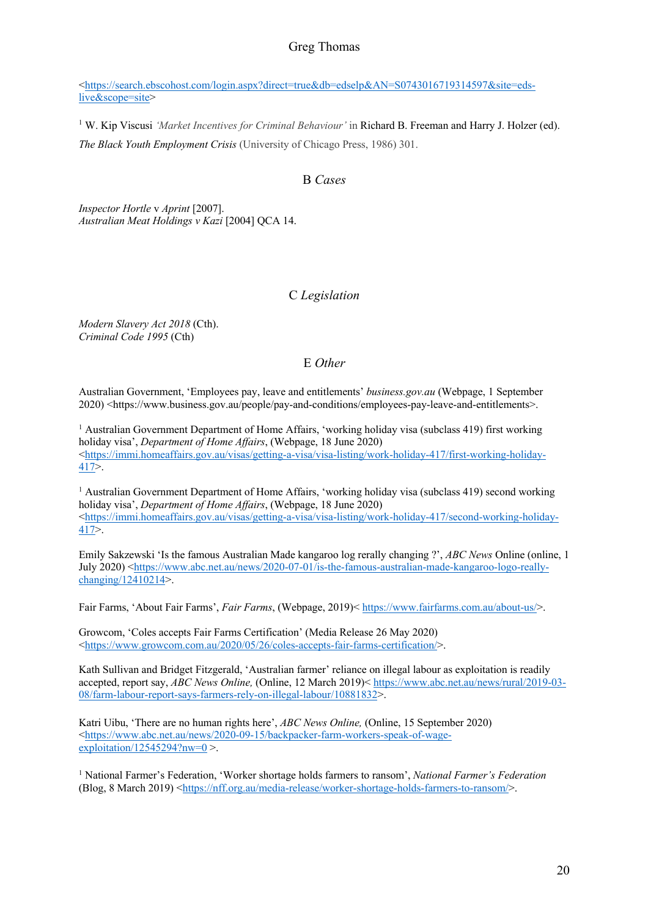<https://search.ebscohost.com/login.aspx?direct=true&db=edselp&AN=S0743016719314597&site=edslive&scope=site>

<sup>1</sup> W. Kip Viscusi *'Market Incentives for Criminal Behaviour'* in Richard B. Freeman and Harry J. Holzer (ed). *The Black Youth Employment Crisis* (University of Chicago Press, 1986) 301.

## B *Cases*

*Inspector Hortle* v *Aprint* [2007]. *Australian Meat Holdings v Kazi* [2004] QCA 14.

### C *Legislation*

*Modern Slavery Act 2018* (Cth). *Criminal Code 1995* (Cth)

#### E *Other*

Australian Government, 'Employees pay, leave and entitlements' *business.gov.au* (Webpage, 1 September 2020) <https://www.business.gov.au/people/pay-and-conditions/employees-pay-leave-and-entitlements>.

<sup>1</sup> Australian Government Department of Home Affairs, 'working holiday visa (subclass 419) first working holiday visa', *Department of Home Affairs*, (Webpage, 18 June 2020)  $\lt$ https://immi.homeaffairs.gov.au/visas/getting-a-visa/visa-listing/work-holiday-417/first-working-holiday-417>.

<sup>1</sup> Australian Government Department of Home Affairs, 'working holiday visa (subclass 419) second working holiday visa', *Department of Home Affairs*, (Webpage, 18 June 2020)  $\lt$ https://immi.homeaffairs.gov.au/visas/getting-a-visa/visa-listing/work-holiday-417/second-working-holiday-417>.

Emily Sakzewski 'Is the famous Australian Made kangaroo log rerally changing ?', *ABC News* Online (online, 1 July 2020) <https://www.abc.net.au/news/2020-07-01/is-the-famous-australian-made-kangaroo-logo-reallychanging/12410214>.

Fair Farms, 'About Fair Farms', *Fair Farms*, (Webpage, 2019)< https://www.fairfarms.com.au/about-us/>.

Growcom, 'Coles accepts Fair Farms Certification' (Media Release 26 May 2020) <https://www.growcom.com.au/2020/05/26/coles-accepts-fair-farms-certification/>.

Kath Sullivan and Bridget Fitzgerald, 'Australian farmer' reliance on illegal labour as exploitation is readily accepted, report say, *ABC News Online,* (Online, 12 March 2019)< https://www.abc.net.au/news/rural/2019-03- 08/farm-labour-report-says-farmers-rely-on-illegal-labour/10881832>.

Katri Uibu, 'There are no human rights here', *ABC News Online,* (Online, 15 September 2020) <https://www.abc.net.au/news/2020-09-15/backpacker-farm-workers-speak-of-wageexploitation/12545294?nw=0 >.

<sup>1</sup> National Farmer's Federation, 'Worker shortage holds farmers to ransom', *National Farmer's Federation*  (Blog, 8 March 2019) <https://nff.org.au/media-release/worker-shortage-holds-farmers-to-ransom/>.